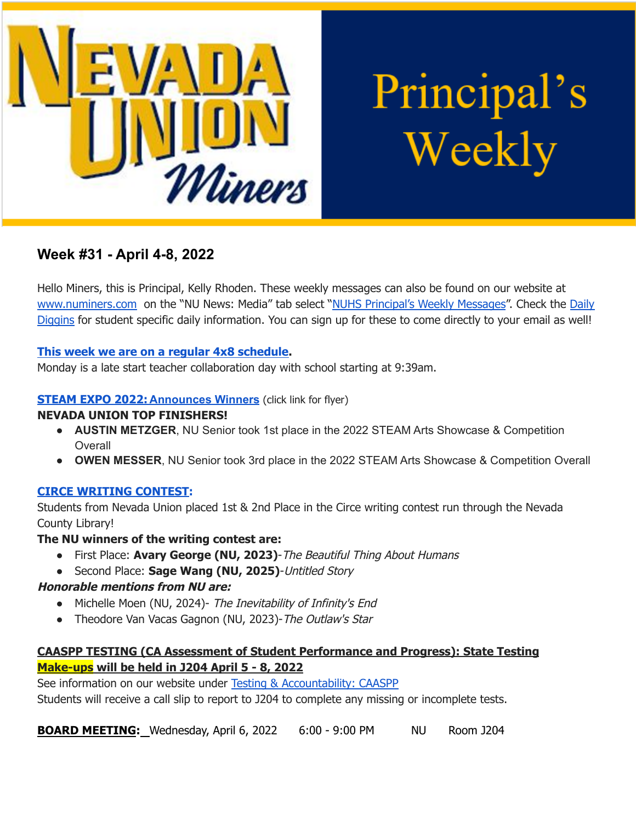

Principal's Weekly

# **Week #31 - April 4-8, 2022**

Hello Miners, this is Principal, Kelly Rhoden. These weekly messages can also be found on our website at [www.numiners.com](http://www.numiners.com) on the "NU News: Media" tab select "NUHS [Principal's](https://nevadaunion.njuhsd.com/NU-NewsMedia/NUHS-Principals-Weekly-Messages/index.html) Weekly Messages". Check the [Daily](https://nevadaunion.njuhsd.com/NU-NewsMedia/Daily-Diggins-Bulletin/index.html) [Diggins](https://nevadaunion.njuhsd.com/NU-NewsMedia/Daily-Diggins-Bulletin/index.html) for student specific daily information. You can sign up for these to come directly to your email as well!

#### **This week we are on a regular 4x8 [schedule.](https://nevadaunion.njuhsd.com/documents/Bell%20Schedules/Bell-Schedule-2021-2022-NUHS-4x8.pdf)**

Monday is a late start teacher collaboration day with school starting at 9:39am.

### **STEAM EXPO 2022: [Announces](https://www.nevcoexpo.org/) Winners** (click link for flyer)

#### **NEVADA UNION TOP FINISHERS!**

- **● AUSTIN METZGER**, NU Senior took 1st place in the 2022 STEAM Arts Showcase & Competition **Overall**
- **● OWEN MESSER**, NU Senior took 3rd place in the 2022 STEAM Arts Showcase & Competition Overall

#### **CIRCE WRITING CONTEST:**

Students from Nevada Union placed 1st & 2nd Place in the Circe writing contest run through the Nevada County Library!

#### **The NU winners of the writing contest are:**

- First Place: **Avary George (NU, 2023)**-The Beautiful Thing About Humans
- Second Place: **Sage Wang (NU, 2025)**-Untitled Story

## **Honorable mentions from NU are:**

- Michelle Moen (NU, 2024)- The Inevitability of Infinity's End
- Theodore Van Vacas Gagnon (NU, 2023)-The Outlaw's Star

## **CAASPP TESTING (CA Assessment of Student Performance and Progress): State Testing Make-ups will be held in J204 April 5 - 8, 2022**

See information on our website under Testing & [Accountability:](https://nevadaunion.njuhsd.com/About-Us/Testing--Accountability/Junior-CAASPP--Senior-CAST-Test-Information/index.html) CAASPP Students will receive a call slip to report to J204 to complete any missing or incomplete tests.

**BOARD MEETING:** Wednesday, April 6, 2022 6:00 - 9:00 PM NU Room J204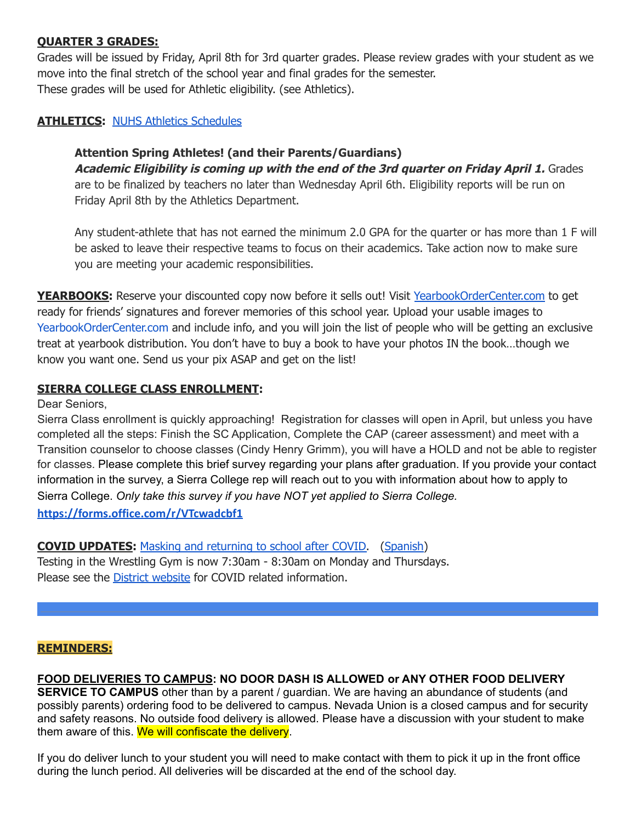#### **QUARTER 3 GRADES:**

Grades will be issued by Friday, April 8th for 3rd quarter grades. Please review grades with your student as we move into the final stretch of the school year and final grades for the semester. These grades will be used for Athletic eligibility. (see Athletics).

#### **ATHLETICS:** NUHS Athletics [Schedules](https://nevadaunion.njuhsd.com/Athletics/Sports-Calendar--Schedules/index.html)

#### **Attention Spring Athletes! (and their Parents/Guardians)**

**Academic Eligibility is coming up with the end of the 3rd quarter on Friday April 1.** Grades are to be finalized by teachers no later than Wednesday April 6th. Eligibility reports will be run on Friday April 8th by the Athletics Department.

Any student-athlete that has not earned the minimum 2.0 GPA for the quarter or has more than 1 F will be asked to leave their respective teams to focus on their academics. Take action now to make sure you are meeting your academic responsibilities.

**YEARBOOKS:** Reserve your discounted copy now before it sells out! Visit [YearbookOrderCenter.com](https://www.yearbookordercenter.com/jobSearch/displayHome) to get ready for friends' signatures and forever memories of this school year. Upload your usable images t[o](https://www.yearbookordercenter.com/?event=general.displayLanding&jobnumber=14084) [YearbookOrderCenter.com](https://www.yearbookordercenter.com/?event=general.displayLanding&jobnumber=14084) and include info, and you will join the list of people who will be getting an exclusive treat at yearbook distribution. You don't have to buy a book to have your photos IN the book…though we know you want one. Send us your pix ASAP and get on the list!

#### **SIERRA COLLEGE CLASS ENROLLMENT:**

Dear Seniors,

Sierra Class enrollment is quickly approaching! Registration for classes will open in April, but unless you have completed all the steps: Finish the SC Application, Complete the CAP (career assessment) and meet with a Transition counselor to choose classes (Cindy Henry Grimm), you will have a HOLD and not be able to register for classes. Please complete this brief survey regarding your plans after graduation. If you provide your contact information in the survey, a Sierra College rep will reach out to you with information about how to apply to Sierra College. *Only take this survey if you have NOT yet applied to Sierra College.*

**<https://forms.office.com/r/VTcwadcbf1>**

**COVID UPDATES:** Masking and [returning](https://www.njuhsd.com/documents/Masking-Update-3.12.22.pdf) to school after COVID. [\(Spanish](https://www.njuhsd.com/documents/Covid/Actualizacion-de-las-reglas-del-uso-de-cubrebocas-3.12.22.pdf))

Testing in the Wrestling Gym is now 7:30am - 8:30am on Monday and Thursdays. Please see the District [website](http://njuhsd.com) for COVID related information.

#### **REMINDERS:**

**FOOD DELIVERIES TO CAMPUS: NO DOOR DASH IS ALLOWED or ANY OTHER FOOD DELIVERY SERVICE TO CAMPUS** other than by a parent / guardian. We are having an abundance of students (and possibly parents) ordering food to be delivered to campus. Nevada Union is a closed campus and for security and safety reasons. No outside food delivery is allowed. Please have a discussion with your student to make

them aware of this. We will confiscate the delivery.

If you do deliver lunch to your student you will need to make contact with them to pick it up in the front office during the lunch period. All deliveries will be discarded at the end of the school day.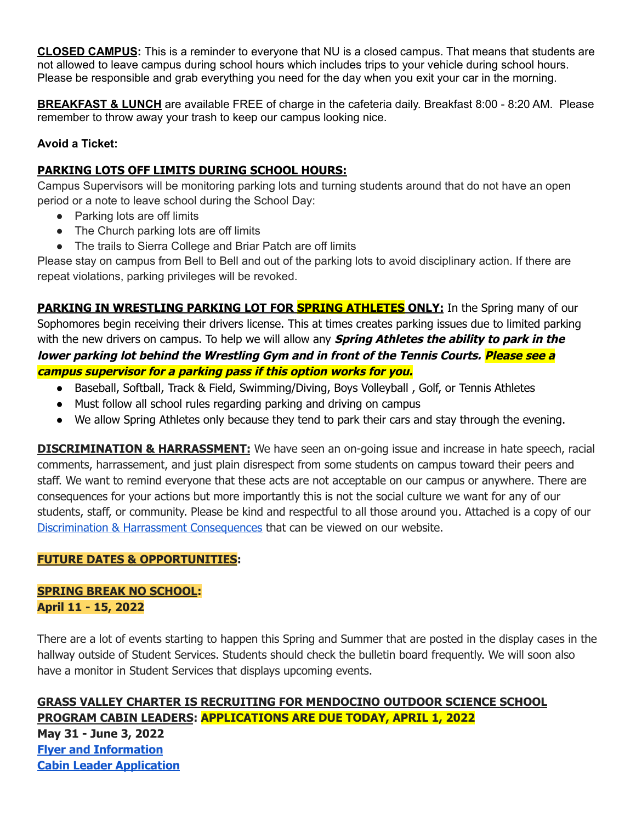**CLOSED CAMPUS:** This is a reminder to everyone that NU is a closed campus. That means that students are not allowed to leave campus during school hours which includes trips to your vehicle during school hours. Please be responsible and grab everything you need for the day when you exit your car in the morning.

**BREAKFAST & LUNCH** are available FREE of charge in the cafeteria daily. Breakfast 8:00 - 8:20 AM. Please remember to throw away your trash to keep our campus looking nice.

#### **Avoid a Ticket:**

#### **PARKING LOTS OFF LIMITS DURING SCHOOL HOURS:**

Campus Supervisors will be monitoring parking lots and turning students around that do not have an open period or a note to leave school during the School Day:

- Parking lots are off limits
- The Church parking lots are off limits
- The trails to Sierra College and Briar Patch are off limits

Please stay on campus from Bell to Bell and out of the parking lots to avoid disciplinary action. If there are repeat violations, parking privileges will be revoked.

**PARKING IN WRESTLING PARKING LOT FOR SPRING ATHLETES ONLY:** In the Spring many of our Sophomores begin receiving their drivers license. This at times creates parking issues due to limited parking with the new drivers on campus. To help we will allow any **Spring Athletes the ability to park in the lower parking lot behind the Wrestling Gym and in front of the Tennis Courts. Please see <sup>a</sup> campus supervisor for <sup>a</sup> parking pass if this option works for you.**

- Baseball, Softball, Track & Field, Swimming/Diving, Boys Volleyball, Golf, or Tennis Athletes
- Must follow all school rules regarding parking and driving on campus
- We allow Spring Athletes only because they tend to park their cars and stay through the evening.

**DISCRIMINATION & HARRASSMENT:** We have seen an on-going issue and increase in hate speech, racial comments, harrassement, and just plain disrespect from some students on campus toward their peers and staff. We want to remind everyone that these acts are not acceptable on our campus or anywhere. There are consequences for your actions but more importantly this is not the social culture we want for any of our students, staff, or community. Please be kind and respectful to all those around you. Attached is a copy of our Discrimination & Harrassment [Consequences](https://nevadaunion.njuhsd.com/documents/Nevada%20Union%20HS/Information/School%20Policies/Consequence-Policy.pdf) that can be viewed on our website.

#### **FUTURE DATES & OPPORTUNITIES:**

#### **SPRING BREAK NO SCHOOL: April 11 - 15, 2022**

There are a lot of events starting to happen this Spring and Summer that are posted in the display cases in the hallway outside of Student Services. Students should check the bulletin board frequently. We will soon also have a monitor in Student Services that displays upcoming events.

**GRASS VALLEY CHARTER IS RECRUITING FOR MENDOCINO OUTDOOR SCIENCE SCHOOL PROGRAM CABIN LEADERS: APPLICATIONS ARE DUE TODAY, APRIL 1, 2022 May 31 - June 3, 2022 Flyer and [Information](https://drive.google.com/file/d/1Myk3e4oi7FKtGT6e0DeP2Gl7uaF5mpi5/view?usp=sharing) Cabin Leader [Application](https://drive.google.com/file/d/1XBR_iNiixO7R7puvXCJkDse-gdj0OaLa/view?usp=sharing)**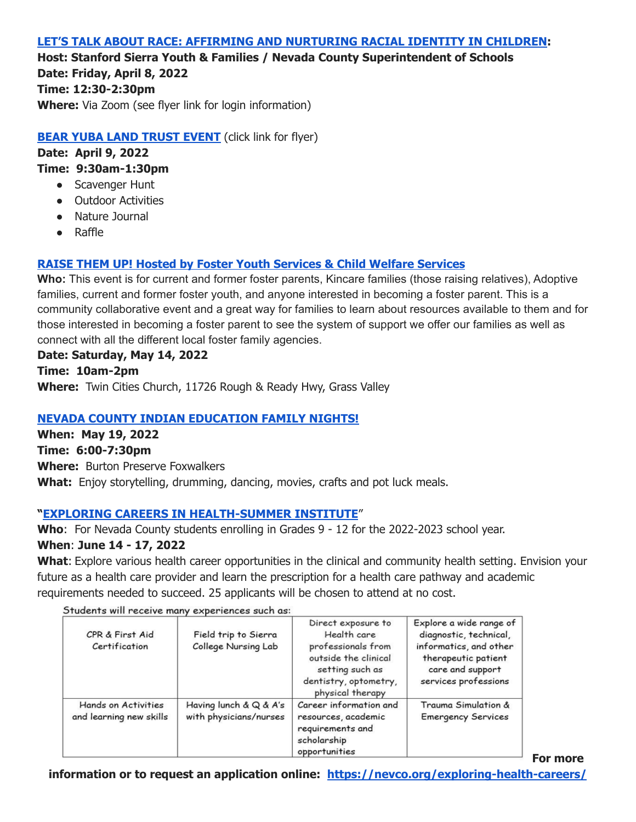#### **LET'S TALK ABOUT RACE: AFFIRMING AND [NURTURING](https://drive.google.com/file/d/1cZlts_snsyexOpTsM1mZSYVzpxYjwljm/view?usp=sharing) RACIAL IDENTITY IN CHILDREN:**

**Host: Stanford Sierra Youth & Families / Nevada County Superintendent of Schools Date: Friday, April 8, 2022 Time: 12:30-2:30pm Where:** Via Zoom (see flyer link for login information)

#### **BEAR YUBA LAND [TRUST](https://drive.google.com/file/d/1nls3SFoSVH3dV6AHEqbRTx7WuVuO5fxu/view?usp=sharing) EVENT** (click link for flyer)

**Date: April 9, 2022 Time: 9:30am-1:30pm**

- Scavenger Hunt
- Outdoor Activities
- Nature Journal
- Raffle

## **RAISE THEM UP! Hosted by Foster Youth Services & Child Welfare [Services](https://drive.google.com/file/d/1N03aeIDE-_EbWrJkq6BEOPTcszXq2-yf/view?usp=sharing)**

**Who:** This event is for current and former foster parents, Kincare families (those raising relatives), Adoptive families, current and former foster youth, and anyone interested in becoming a foster parent. This is a community collaborative event and a great way for families to learn about resources available to them and for those interested in becoming a foster parent to see the system of support we offer our families as well as connect with all the different local foster family agencies.

#### **Date: Saturday, May 14, 2022**

**Time: 10am-2pm Where:** Twin Cities Church, 11726 Rough & Ready Hwy, Grass Valley

## **NEVADA COUNTY INDIAN [EDUCATION](https://drive.google.com/file/d/1i7tBmQVOXoDpAXK7Gcy9jS_RO_AZuGf2/view?usp=sharing) FAMILY NIGHTS!**

**When: May 19, 2022 Time: 6:00-7:30pm Where:** Burton Preserve Foxwalkers **What:** Enjoy storytelling, drumming, dancing, movies, crafts and pot luck meals.

#### **"EXPLORING CAREERS IN [HEALTH-SUMMER](https://drive.google.com/file/d/1xQnMOsfcrXUo2EUxly7iyWtWn160lTrU/view?usp=sharing) INSTITUTE**"

**Who**: For Nevada County students enrolling in Grades 9 - 12 for the 2022-2023 school year.

#### **When**: **June 14 - 17, 2022**

**What**: Explore various health career opportunities in the clinical and community health setting. Envision your future as a health care provider and learn the prescription for a health care pathway and academic requirements needed to succeed. 25 applicants will be chosen to attend at no cost.

| CPR & First Aid<br>Certification               | Field trip to Sierra<br>College Nursing Lab      | Direct exposure to<br>Health care<br>professionals from<br>outside the clinical<br>setting such as<br>dentistry, optometry,<br>physical therapy | Explore a wide range of<br>diagnostic, technical,<br>informatics, and other<br>therapeutic patient<br>care and support<br>services professions |
|------------------------------------------------|--------------------------------------------------|-------------------------------------------------------------------------------------------------------------------------------------------------|------------------------------------------------------------------------------------------------------------------------------------------------|
| Hands on Activities<br>and learning new skills | Having lunch & Q & A's<br>with physicians/nurses | Career information and<br>resources, academic<br>requirements and<br>scholarship<br>opportunities                                               | Trauma Simulation &<br><b>Emergency Services</b>                                                                                               |

Students will receive many experiences such as

**For more**